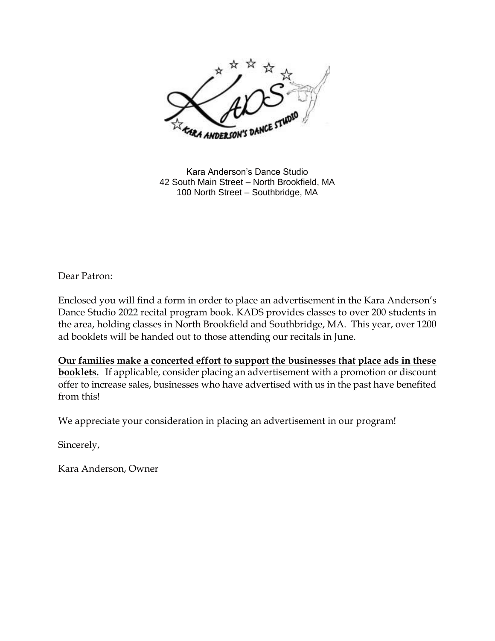

Kara Anderson's Dance Studio 42 South Main Street – North Brookfield, MA 100 North Street – Southbridge, MA

Dear Patron:

Enclosed you will find a form in order to place an advertisement in the Kara Anderson's Dance Studio 2022 recital program book. KADS provides classes to over 200 students in the area, holding classes in North Brookfield and Southbridge, MA. This year, over 1200 ad booklets will be handed out to those attending our recitals in June.

**Our families make a concerted effort to support the businesses that place ads in these booklets.** If applicable, consider placing an advertisement with a promotion or discount offer to increase sales, businesses who have advertised with us in the past have benefited from this!

We appreciate your consideration in placing an advertisement in our program!

Sincerely,

Kara Anderson, Owner